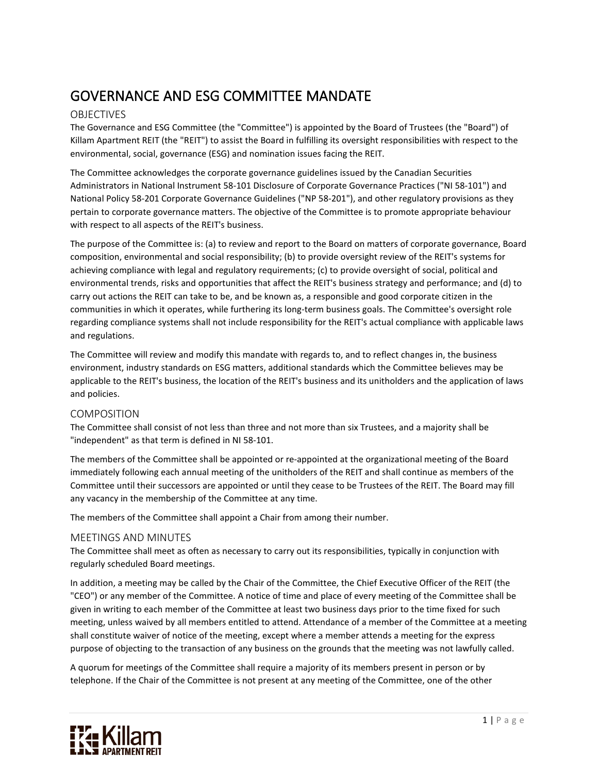# GOVERNANCE AND ESG COMMITTEE MANDATE

## OBJECTIVES

The Governance and ESG Committee (the "Committee") is appointed by the Board of Trustees (the "Board") of Killam Apartment REIT (the "REIT") to assist the Board in fulfilling its oversight responsibilities with respect to the environmental, social, governance (ESG) and nomination issues facing the REIT.

The Committee acknowledges the corporate governance guidelines issued by the Canadian Securities Administrators in National Instrument 58‐101 Disclosure of Corporate Governance Practices ("NI 58‐101") and National Policy 58‐201 Corporate Governance Guidelines ("NP 58‐201"), and other regulatory provisions as they pertain to corporate governance matters. The objective of the Committee is to promote appropriate behaviour with respect to all aspects of the REIT's business.

The purpose of the Committee is: (a) to review and report to the Board on matters of corporate governance, Board composition, environmental and social responsibility; (b) to provide oversight review of the REIT's systems for achieving compliance with legal and regulatory requirements; (c) to provide oversight of social, political and environmental trends, risks and opportunities that affect the REIT's business strategy and performance; and (d) to carry out actions the REIT can take to be, and be known as, a responsible and good corporate citizen in the communities in which it operates, while furthering its long-term business goals. The Committee's oversight role regarding compliance systems shall not include responsibility for the REIT's actual compliance with applicable laws and regulations.

The Committee will review and modify this mandate with regards to, and to reflect changes in, the business environment, industry standards on ESG matters, additional standards which the Committee believes may be applicable to the REIT's business, the location of the REIT's business and its unitholders and the application of laws and policies.

## COMPOSITION

The Committee shall consist of not less than three and not more than six Trustees, and a majority shall be "independent" as that term is defined in NI 58‐101.

The members of the Committee shall be appointed or re‐appointed at the organizational meeting of the Board immediately following each annual meeting of the unitholders of the REIT and shall continue as members of the Committee until their successors are appointed or until they cease to be Trustees of the REIT. The Board may fill any vacancy in the membership of the Committee at any time.

The members of the Committee shall appoint a Chair from among their number.

### MEETINGS AND MINUTES

The Committee shall meet as often as necessary to carry out its responsibilities, typically in conjunction with regularly scheduled Board meetings.

In addition, a meeting may be called by the Chair of the Committee, the Chief Executive Officer of the REIT (the "CEO") or any member of the Committee. A notice of time and place of every meeting of the Committee shall be given in writing to each member of the Committee at least two business days prior to the time fixed for such meeting, unless waived by all members entitled to attend. Attendance of a member of the Committee at a meeting shall constitute waiver of notice of the meeting, except where a member attends a meeting for the express purpose of objecting to the transaction of any business on the grounds that the meeting was not lawfully called.

A quorum for meetings of the Committee shall require a majority of its members present in person or by telephone. If the Chair of the Committee is not present at any meeting of the Committee, one of the other

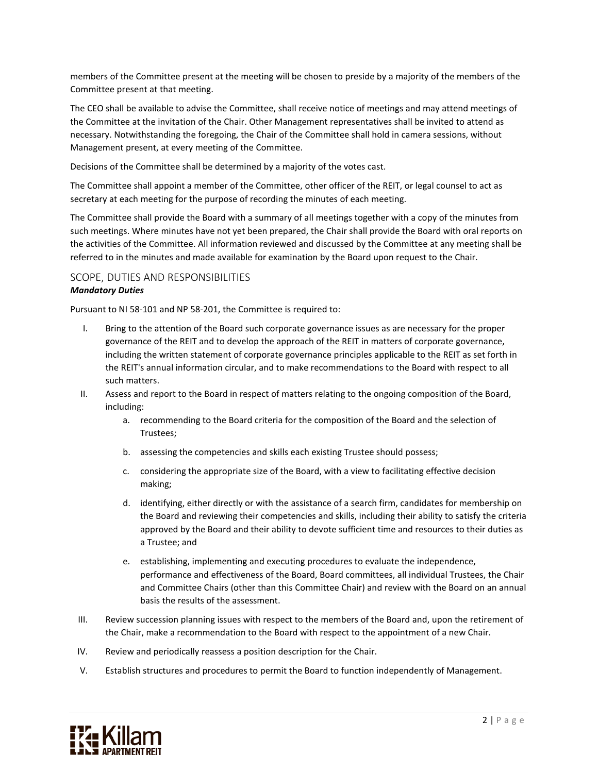members of the Committee present at the meeting will be chosen to preside by a majority of the members of the Committee present at that meeting.

The CEO shall be available to advise the Committee, shall receive notice of meetings and may attend meetings of the Committee at the invitation of the Chair. Other Management representatives shall be invited to attend as necessary. Notwithstanding the foregoing, the Chair of the Committee shall hold in camera sessions, without Management present, at every meeting of the Committee.

Decisions of the Committee shall be determined by a majority of the votes cast.

The Committee shall appoint a member of the Committee, other officer of the REIT, or legal counsel to act as secretary at each meeting for the purpose of recording the minutes of each meeting.

The Committee shall provide the Board with a summary of all meetings together with a copy of the minutes from such meetings. Where minutes have not yet been prepared, the Chair shall provide the Board with oral reports on the activities of the Committee. All information reviewed and discussed by the Committee at any meeting shall be referred to in the minutes and made available for examination by the Board upon request to the Chair.

## SCOPE, DUTIES AND RESPONSIBILITIES *Mandatory Duties*

Pursuant to NI 58-101 and NP 58-201, the Committee is required to:

- I. Bring to the attention of the Board such corporate governance issues as are necessary for the proper governance of the REIT and to develop the approach of the REIT in matters of corporate governance, including the written statement of corporate governance principles applicable to the REIT as set forth in the REIT's annual information circular, and to make recommendations to the Board with respect to all such matters.
- II. Assess and report to the Board in respect of matters relating to the ongoing composition of the Board, including:
	- a. recommending to the Board criteria for the composition of the Board and the selection of Trustees;
	- b. assessing the competencies and skills each existing Trustee should possess;
	- c. considering the appropriate size of the Board, with a view to facilitating effective decision making;
	- d. identifying, either directly or with the assistance of a search firm, candidates for membership on the Board and reviewing their competencies and skills, including their ability to satisfy the criteria approved by the Board and their ability to devote sufficient time and resources to their duties as a Trustee; and
	- e. establishing, implementing and executing procedures to evaluate the independence, performance and effectiveness of the Board, Board committees, all individual Trustees, the Chair and Committee Chairs (other than this Committee Chair) and review with the Board on an annual basis the results of the assessment.
- III. Review succession planning issues with respect to the members of the Board and, upon the retirement of the Chair, make a recommendation to the Board with respect to the appointment of a new Chair.
- IV. Review and periodically reassess a position description for the Chair.
- V. Establish structures and procedures to permit the Board to function independently of Management.

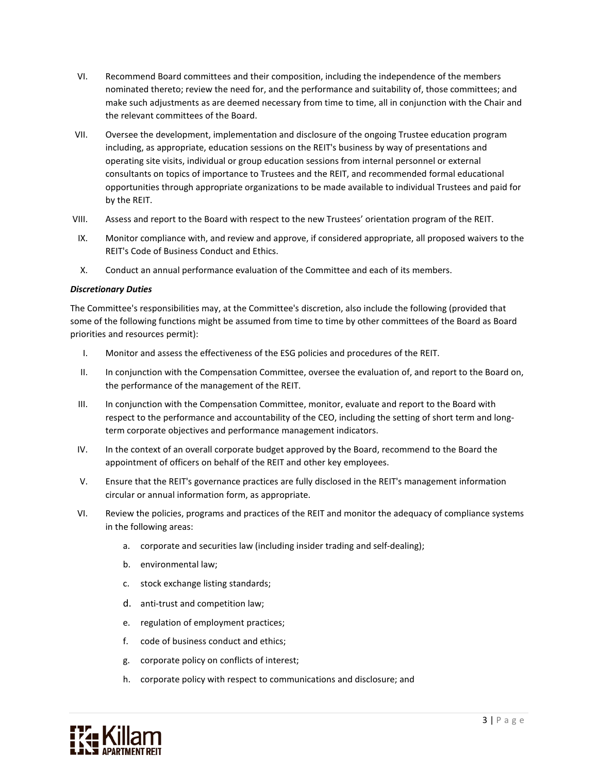- VI. Recommend Board committees and their composition, including the independence of the members nominated thereto; review the need for, and the performance and suitability of, those committees; and make such adjustments as are deemed necessary from time to time, all in conjunction with the Chair and the relevant committees of the Board.
- VII. Oversee the development, implementation and disclosure of the ongoing Trustee education program including, as appropriate, education sessions on the REIT's business by way of presentations and operating site visits, individual or group education sessions from internal personnel or external consultants on topics of importance to Trustees and the REIT, and recommended formal educational opportunities through appropriate organizations to be made available to individual Trustees and paid for by the REIT.
- VIII. Assess and report to the Board with respect to the new Trustees' orientation program of the REIT.
- IX. Monitor compliance with, and review and approve, if considered appropriate, all proposed waivers to the REIT's Code of Business Conduct and Ethics.
- X. Conduct an annual performance evaluation of the Committee and each of its members.

#### *Discretionary Duties*

The Committee's responsibilities may, at the Committee's discretion, also include the following (provided that some of the following functions might be assumed from time to time by other committees of the Board as Board priorities and resources permit):

- I. Monitor and assess the effectiveness of the ESG policies and procedures of the REIT.
- II. In conjunction with the Compensation Committee, oversee the evaluation of, and report to the Board on, the performance of the management of the REIT.
- III. In conjunction with the Compensation Committee, monitor, evaluate and report to the Board with respect to the performance and accountability of the CEO, including the setting of short term and longterm corporate objectives and performance management indicators.
- IV. In the context of an overall corporate budget approved by the Board, recommend to the Board the appointment of officers on behalf of the REIT and other key employees.
- V. Ensure that the REIT's governance practices are fully disclosed in the REIT's management information circular or annual information form, as appropriate.
- VI. Review the policies, programs and practices of the REIT and monitor the adequacy of compliance systems in the following areas:
	- a. corporate and securities law (including insider trading and self-dealing);
	- b. environmental law;
	- c. stock exchange listing standards;
	- d. anti-trust and competition law;
	- e. regulation of employment practices;
	- f. code of business conduct and ethics;
	- g. corporate policy on conflicts of interest;
	- h. corporate policy with respect to communications and disclosure; and